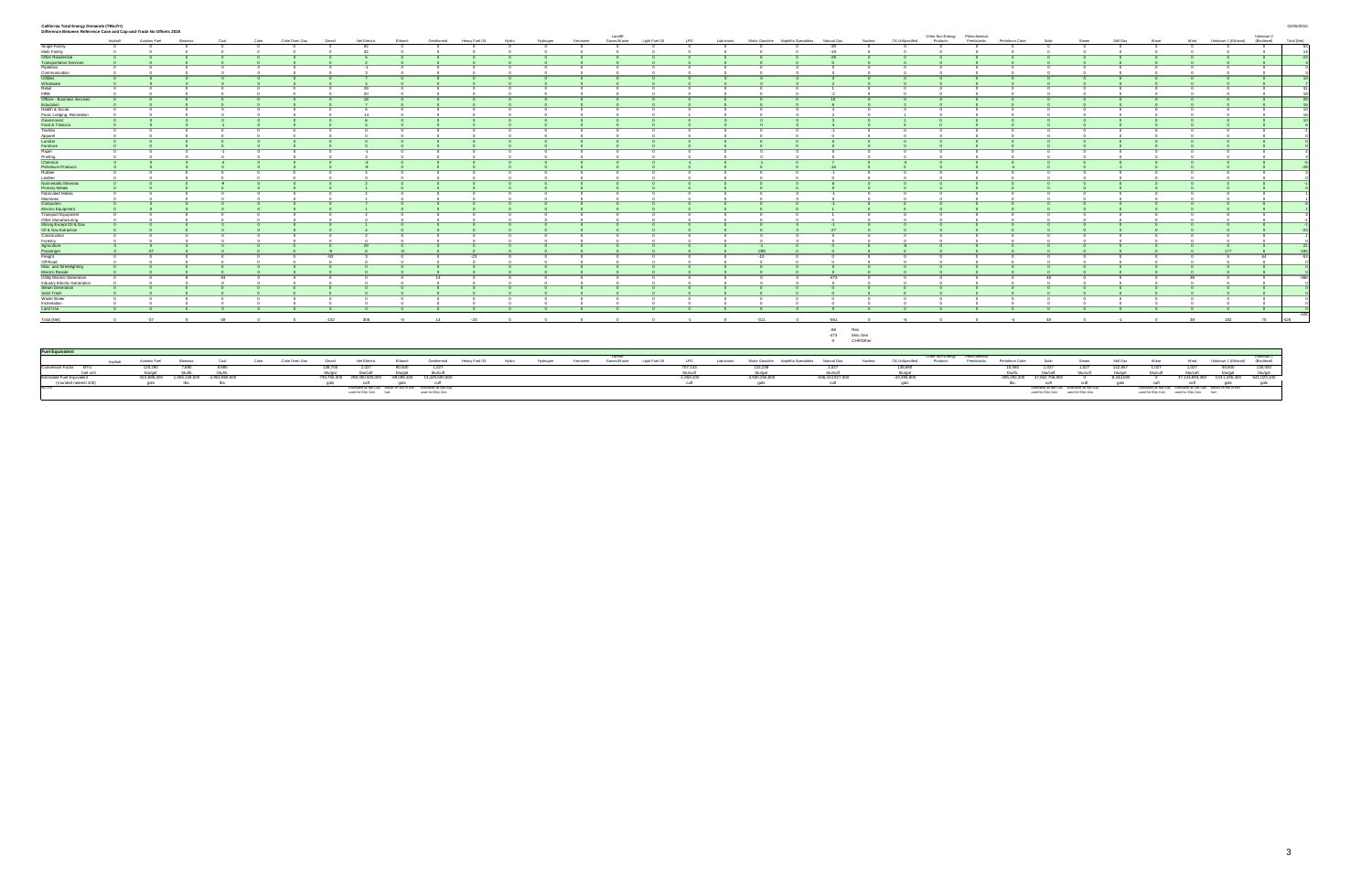#### **California Total Energy Demands (TBtu/Yr)** 02/26/2010

| Difference Between Reference Case and Cap-and-Trade No Offsets 2020                                             |          |                          |                              |               |      |                    |         |                                                                                              |                                                                            |                   |                |       |          |          | Landfill    |                            |                |            |                                                               |                  |                                   |                             | Other Non-Energy Petrochemical |            |                             |                                     |                                           |                      |                                          |       |                                                                                           | Unknown 2                         |             |
|-----------------------------------------------------------------------------------------------------------------|----------|--------------------------|------------------------------|---------------|------|--------------------|---------|----------------------------------------------------------------------------------------------|----------------------------------------------------------------------------|-------------------|----------------|-------|----------|----------|-------------|----------------------------|----------------|------------|---------------------------------------------------------------|------------------|-----------------------------------|-----------------------------|--------------------------------|------------|-----------------------------|-------------------------------------|-------------------------------------------|----------------------|------------------------------------------|-------|-------------------------------------------------------------------------------------------|-----------------------------------|-------------|
|                                                                                                                 | Asphalt  | Aviation Fuel            | Biomass                      | Coal          | Coke | Coke Oven Gas      | Diesel  | Net Electric                                                                                 | Ethanol                                                                    | Geothermal        | Heavy Fuel Oil | Hydro | Hydrogen | Kerosene | Gases/Waste | Light Fuel Oil             | <b>LPG</b>     |            | Lubricants Motor Gasoline Naphtha Specialties Natural Gas     |                  | Nuclear                           | Oil, UnSpecified            | Products                       | Feedstocks | Petroleum Coke              | Solar                               | Steam                                     | Still Gas            | Wave                                     |       | Wind Unknown 1 (Ethanol) (Biodiesel)                                                      |                                   | Total (Net) |
| Single Family                                                                                                   |          |                          |                              |               |      |                    |         |                                                                                              |                                                                            |                   |                |       |          |          |             |                            |                |            |                                                               |                  |                                   |                             |                                |            |                             |                                     |                                           |                      |                                          |       |                                                                                           |                                   |             |
| Multi Family                                                                                                    |          |                          |                              |               |      |                    |         |                                                                                              |                                                                            |                   |                |       |          |          |             |                            |                |            |                                                               | $-10$            |                                   |                             |                                |            |                             |                                     |                                           |                      |                                          |       |                                                                                           |                                   |             |
|                                                                                                                 |          |                          |                              |               |      |                    |         |                                                                                              |                                                                            |                   |                |       |          |          |             |                            |                |            |                                                               |                  |                                   |                             |                                |            |                             |                                     |                                           |                      |                                          |       |                                                                                           |                                   |             |
| Other Residential<br>Transportation Services<br>Pipelines                                                       |          |                          |                              |               |      |                    |         |                                                                                              |                                                                            |                   |                |       |          |          |             |                            |                |            |                                                               |                  |                                   |                             |                                |            |                             |                                     |                                           |                      |                                          |       |                                                                                           |                                   |             |
| Communication                                                                                                   |          |                          |                              |               |      |                    |         |                                                                                              |                                                                            |                   |                |       |          |          |             |                            |                |            |                                                               |                  |                                   |                             |                                |            |                             |                                     |                                           |                      |                                          |       |                                                                                           |                                   |             |
| Utilities<br>Wholesale                                                                                          |          |                          |                              |               |      |                    |         |                                                                                              |                                                                            |                   |                |       |          |          |             |                            |                |            |                                                               |                  |                                   |                             |                                |            |                             |                                     |                                           |                      |                                          |       |                                                                                           |                                   |             |
| Retail                                                                                                          |          |                          |                              |               |      |                    |         |                                                                                              |                                                                            |                   |                |       |          |          |             |                            |                |            |                                                               |                  |                                   |                             |                                |            |                             |                                     |                                           |                      |                                          |       |                                                                                           |                                   |             |
| FIRE                                                                                                            |          |                          |                              |               |      |                    |         |                                                                                              |                                                                            |                   |                |       |          |          |             |                            |                |            |                                                               |                  |                                   |                             |                                |            |                             |                                     |                                           |                      |                                          |       |                                                                                           |                                   |             |
| Offices - Business Services                                                                                     |          |                          |                              |               |      |                    |         |                                                                                              |                                                                            |                   |                |       |          |          |             |                            |                |            |                                                               |                  |                                   |                             |                                |            |                             |                                     |                                           |                      |                                          |       |                                                                                           |                                   |             |
| Education<br>Health & Social                                                                                    |          |                          |                              |               |      |                    |         |                                                                                              |                                                                            |                   |                |       |          |          |             |                            |                |            |                                                               |                  |                                   |                             |                                |            |                             |                                     |                                           |                      |                                          |       |                                                                                           |                                   |             |
| Food, Lodging, Recreation<br>Government                                                                         |          |                          |                              |               |      |                    |         |                                                                                              |                                                                            |                   |                |       |          |          |             |                            |                |            |                                                               |                  |                                   |                             |                                |            |                             |                                     |                                           |                      |                                          |       |                                                                                           |                                   |             |
|                                                                                                                 |          |                          |                              |               |      |                    |         |                                                                                              |                                                                            |                   |                |       |          |          |             |                            |                |            |                                                               |                  |                                   |                             |                                |            |                             |                                     |                                           |                      |                                          |       |                                                                                           |                                   |             |
| Food & Tobacco                                                                                                  |          |                          |                              |               |      |                    |         |                                                                                              |                                                                            |                   |                |       |          |          |             |                            |                |            |                                                               |                  |                                   |                             |                                |            |                             |                                     |                                           |                      |                                          |       |                                                                                           |                                   |             |
|                                                                                                                 |          |                          |                              |               |      |                    |         |                                                                                              |                                                                            |                   |                |       |          |          |             |                            |                |            |                                                               |                  |                                   |                             |                                |            |                             |                                     |                                           |                      |                                          |       |                                                                                           |                                   |             |
|                                                                                                                 |          |                          |                              |               |      |                    |         |                                                                                              |                                                                            |                   |                |       |          |          |             |                            |                |            |                                                               |                  |                                   |                             |                                |            |                             |                                     |                                           |                      |                                          |       |                                                                                           |                                   |             |
|                                                                                                                 |          |                          |                              |               |      |                    |         |                                                                                              |                                                                            |                   |                |       |          |          |             |                            |                |            |                                                               |                  |                                   |                             |                                |            |                             |                                     |                                           |                      |                                          |       |                                                                                           |                                   |             |
|                                                                                                                 |          |                          |                              |               |      |                    |         |                                                                                              |                                                                            |                   |                |       |          |          |             |                            |                |            |                                                               |                  |                                   |                             |                                |            |                             |                                     |                                           |                      |                                          |       |                                                                                           |                                   |             |
| Food & Tobacco<br>Textiles<br>Apparel<br>Eumber<br>Printing<br>Petroleum Products<br>Petroleum Products         |          |                          |                              |               |      |                    |         |                                                                                              |                                                                            |                   |                |       |          |          |             |                            |                |            |                                                               |                  |                                   |                             |                                |            |                             |                                     |                                           |                      |                                          |       |                                                                                           |                                   |             |
|                                                                                                                 |          |                          |                              |               |      |                    |         |                                                                                              |                                                                            |                   |                |       |          |          |             |                            |                |            |                                                               |                  |                                   |                             |                                |            |                             |                                     |                                           |                      |                                          |       |                                                                                           |                                   |             |
| Rubber                                                                                                          |          |                          |                              |               |      |                    |         |                                                                                              |                                                                            |                   |                |       |          |          |             |                            |                |            |                                                               |                  |                                   |                             |                                |            |                             |                                     |                                           |                      |                                          |       |                                                                                           |                                   |             |
| Leather<br><mark>Nonmetallic Minerals</mark>                                                                    |          |                          |                              |               |      |                    |         |                                                                                              |                                                                            |                   |                |       |          |          |             |                            |                |            |                                                               |                  |                                   |                             |                                |            |                             |                                     |                                           |                      |                                          |       |                                                                                           |                                   |             |
| Primary Metals                                                                                                  |          |                          |                              |               |      |                    |         |                                                                                              |                                                                            |                   |                |       |          |          |             |                            |                |            |                                                               |                  |                                   |                             |                                |            |                             |                                     |                                           |                      |                                          |       |                                                                                           |                                   |             |
| <b>Fabricated Metals</b>                                                                                        |          |                          |                              |               |      |                    |         |                                                                                              |                                                                            |                   |                |       |          |          |             |                            |                |            |                                                               |                  |                                   |                             |                                |            |                             |                                     |                                           |                      |                                          |       |                                                                                           |                                   |             |
| Machines                                                                                                        |          |                          |                              |               |      |                    |         |                                                                                              |                                                                            |                   |                |       |          |          |             |                            |                |            |                                                               |                  |                                   |                             |                                |            |                             |                                     |                                           |                      |                                          |       |                                                                                           |                                   |             |
| wachines<br>Computers<br>Electric Equipment<br>Transport Equipment                                              |          |                          |                              |               |      |                    |         |                                                                                              |                                                                            |                   |                |       |          |          |             |                            |                |            |                                                               |                  |                                   |                             |                                |            |                             |                                     |                                           |                      |                                          |       |                                                                                           |                                   |             |
|                                                                                                                 |          |                          |                              |               |      |                    |         |                                                                                              |                                                                            |                   |                |       |          |          |             |                            |                |            |                                                               |                  |                                   |                             |                                |            |                             |                                     |                                           |                      |                                          |       |                                                                                           |                                   |             |
| Other Manufacturing<br>Mining Except Oil & Gas                                                                  |          |                          |                              |               |      |                    |         |                                                                                              |                                                                            |                   |                |       |          |          |             |                            |                |            |                                                               |                  |                                   |                             |                                |            |                             |                                     |                                           |                      |                                          |       |                                                                                           |                                   |             |
| Oil & Gas Extraction                                                                                            |          |                          |                              |               |      |                    |         |                                                                                              |                                                                            |                   |                |       |          |          |             |                            |                |            |                                                               |                  |                                   |                             |                                |            |                             |                                     |                                           |                      |                                          |       |                                                                                           |                                   |             |
| Construction                                                                                                    |          |                          |                              |               |      |                    |         |                                                                                              |                                                                            |                   |                |       |          |          |             |                            |                |            |                                                               |                  |                                   |                             |                                |            |                             |                                     |                                           |                      |                                          |       |                                                                                           |                                   |             |
|                                                                                                                 |          |                          |                              |               |      |                    |         |                                                                                              |                                                                            |                   |                |       |          |          |             |                            |                |            |                                                               |                  |                                   |                             |                                |            |                             |                                     |                                           |                      |                                          |       |                                                                                           |                                   |             |
|                                                                                                                 |          |                          |                              |               |      |                    |         |                                                                                              |                                                                            |                   |                |       |          |          |             |                            |                |            |                                                               |                  |                                   |                             |                                |            |                             |                                     |                                           |                      |                                          |       |                                                                                           |                                   |             |
|                                                                                                                 |          |                          |                              |               |      |                    |         |                                                                                              |                                                                            |                   |                |       |          |          |             |                            |                |            | $-298$                                                        |                  |                                   |                             |                                |            |                             |                                     |                                           |                      |                                          |       | 177                                                                                       | 64                                |             |
|                                                                                                                 |          |                          |                              |               |      |                    |         |                                                                                              |                                                                            |                   |                |       |          |          |             |                            |                |            |                                                               |                  |                                   |                             |                                |            |                             |                                     |                                           |                      |                                          |       |                                                                                           |                                   |             |
| Construction<br>Forestry<br>Agriculture<br>Passenger<br>Off Road<br>Misc. and Streetlighting<br>Electric Resale |          |                          |                              |               |      |                    |         |                                                                                              |                                                                            |                   |                |       |          |          |             |                            |                |            |                                                               |                  |                                   |                             |                                |            |                             |                                     |                                           |                      |                                          |       |                                                                                           |                                   |             |
|                                                                                                                 |          |                          |                              |               |      |                    |         |                                                                                              |                                                                            |                   |                |       |          |          |             |                            |                |            |                                                               |                  |                                   |                             |                                |            |                             |                                     |                                           |                      |                                          |       |                                                                                           |                                   | $-398$      |
| Utility Electric Generation                                                                                     |          |                          |                              |               |      |                    |         |                                                                                              |                                                                            |                   |                |       |          |          |             |                            |                |            |                                                               |                  |                                   |                             |                                |            |                             |                                     |                                           |                      |                                          |       |                                                                                           |                                   |             |
| Industry Electric Generation<br>Steam Generation<br>Solid Trash                                                 |          |                          |                              |               |      |                    |         |                                                                                              |                                                                            |                   |                |       |          |          |             |                            |                |            |                                                               |                  |                                   |                             |                                |            |                             |                                     |                                           |                      |                                          |       |                                                                                           |                                   |             |
|                                                                                                                 |          |                          |                              |               |      |                    |         |                                                                                              |                                                                            |                   |                |       |          |          |             |                            |                |            |                                                               |                  |                                   |                             |                                |            |                             |                                     |                                           |                      |                                          |       |                                                                                           |                                   |             |
| Waste Water<br>Incineration                                                                                     |          |                          |                              |               |      |                    |         |                                                                                              |                                                                            |                   |                |       |          |          |             |                            |                |            |                                                               |                  |                                   |                             |                                |            |                             |                                     |                                           |                      |                                          |       |                                                                                           |                                   |             |
| Land Use                                                                                                        |          |                          |                              |               |      |                    |         |                                                                                              |                                                                            |                   |                |       |          |          |             |                            |                |            |                                                               |                  |                                   |                             |                                |            |                             |                                     |                                           |                      |                                          |       |                                                                                           |                                   |             |
|                                                                                                                 |          |                          |                              |               |      |                    |         |                                                                                              |                                                                            |                   |                |       |          |          |             |                            |                |            |                                                               |                  |                                   |                             |                                |            |                             |                                     |                                           |                      |                                          |       |                                                                                           |                                   | $-426$      |
| Total (Net)                                                                                                     | $\Omega$ | $-37$                    |                              | $-49$         |      | $^{\circ}$         | $-102$  | 306                                                                                          | $-8$                                                                       | 14                | $-23$          |       |          |          |             |                            | $-1$           |            | $-311$<br>$^{\circ}$                                          | $-551$           |                                   |                             |                                |            |                             | 48                                  |                                           | $-1$                 |                                          | 38    | 182                                                                                       | 70                                | $-426$      |
|                                                                                                                 |          |                          |                              |               |      |                    |         |                                                                                              |                                                                            |                   |                |       |          |          |             |                            |                |            |                                                               | $-86$<br>9       | Res<br>-473 Elec Gen<br>CHP/Other |                             |                                |            |                             |                                     |                                           |                      |                                          |       |                                                                                           |                                   |             |
| <b>Fuel Equivalent</b>                                                                                          |          |                          |                              |               |      |                    |         |                                                                                              |                                                                            |                   |                |       |          |          |             |                            |                |            |                                                               |                  |                                   |                             |                                |            |                             |                                     |                                           |                      |                                          |       |                                                                                           |                                   |             |
|                                                                                                                 |          |                          |                              |               |      |                    | Diesel  |                                                                                              |                                                                            | Geothermal        |                | Hydro |          |          | Landfill    |                            |                |            |                                                               |                  |                                   |                             | Other Non-Energy Petrochemical | Feedstocks | Petroleum Coke              | Solar                               | Steam                                     |                      | Wave                                     |       |                                                                                           | Unknown 2                         |             |
| Conversion Factor BTU                                                                                           | Asphalt  | Aviation Fuel<br>120,190 | Biomass<br>7,690             | Coal<br>9,985 |      | Coke Coke Oven Gas | 138,700 | Net Electric<br>1,027                                                                        | Ethanol<br>90,500                                                          | 1,027             | Heavy Fuel Oil |       | Hydrogen | Kerosene |             | Gases/Waste Light Fuel Oil | LPG<br>707,143 | Lubricants | Motor Gasoline   Naphtha Specialties   Natural Gas<br>124,238 | 1,027            | Nuclear                           | Oil, UnSpecified<br>138,690 | Products                       |            | 15,060                      | 1.027                               | 1,027                                     | Still Gas<br>142,857 | 1.027                                    | 1.027 | Wind Unknown 1 (Ethanol)<br>90,500                                                        | (Biodiesel)<br>130,000            |             |
| fuel unit                                                                                                       |          | btu/gal                  | btu/lb.                      | btu/lb.       |      |                    |         |                                                                                              |                                                                            |                   |                |       |          |          |             |                            | btu/cuft       |            |                                                               | btu/cuft         |                                   |                             |                                |            | btu/lb.                     | btu/cuft                            | btu/cuft                                  | btu/gal              | btu/cuft                                 |       |                                                                                           |                                   |             |
| Estimated Fuel Equivalent                                                                                       |          | $-310,696,400$           | 1,065,149,500 -4,952,969,500 |               |      |                    |         | btu/gal btu/cuft btu/gal btu/cuft<br>-735,756,300 298,350,925,000 -89,098,300 13,429,600,800 |                                                                            |                   |                |       |          |          |             |                            | $-1,659,200$   |            | btu/gal<br>-2,500,256,800                                     | -536,224,927,000 |                                   | btu/gal<br>-43,396,800      |                                |            | -285,292,200 47,062,706,900 |                                     | $\sim$ 0                                  | $-8,344,000$         | $\sim$ 0                                 |       | btu/cuft btu/gal<br>37,144,693,300 2,011,435,400                                          | $\frac{b\sqrt{gal}}{541,023,100}$ |             |
| (rounded nearest 100)                                                                                           |          | gals                     | lbs.                         | lbs.          |      |                    | gals    |                                                                                              | Cuft gals<br>Estimated as Nat Gas Based on btu of E85 Estimated as Nat Gas |                   |                |       |          |          |             |                            | cuft           |            | gals                                                          | cuft             |                                   | gals                        |                                |            | lbs.                        | cuft                                | cuft                                      | gals                 |                                          |       | Cuft Cult Cult gals gals<br>Estimated as Nat Gas Estimated as Nat Gas Based on blu of E85 |                                   |             |
|                                                                                                                 |          |                          |                              |               |      |                    |         | used for Elec Gen fuel                                                                       |                                                                            | used for Elec Gen |                |       |          |          |             |                            |                |            |                                                               |                  |                                   |                             |                                |            |                             | used for Elec Gen used for Elec Gen | Estimated as Nat Gas Estimated as Nat Gas |                      | used for Elec Gen used for Elec Gen fuel |       |                                                                                           |                                   |             |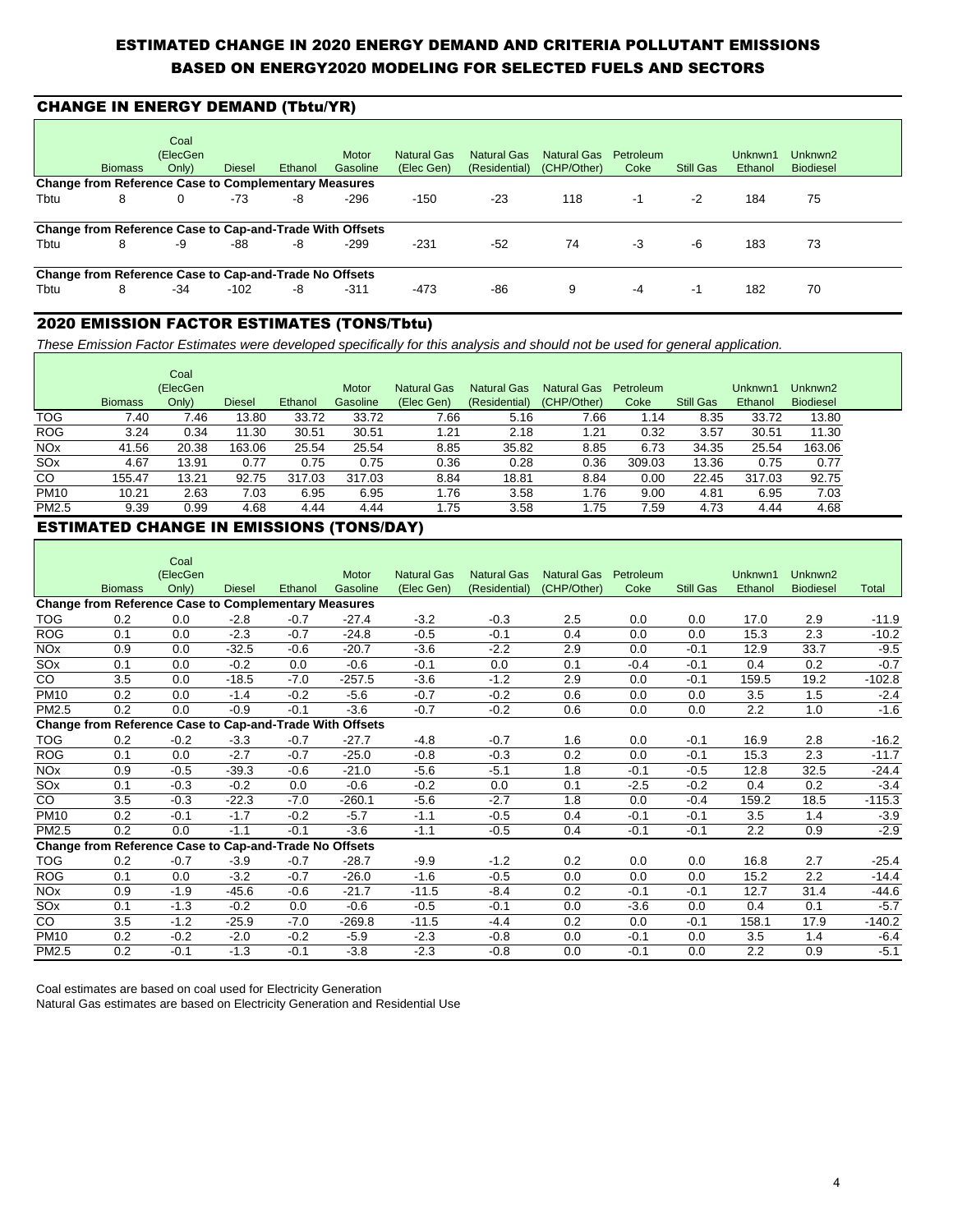## ESTIMATED CHANGE IN 2020 ENERGY DEMAND AND CRITERIA POLLUTANT EMISSIONS BASED ON ENERGY2020 MODELING FOR SELECTED FUELS AND SECTORS

## CHANGE IN ENERGY DEMAND (Tbtu/YR)

|                                                             |                                                          | Coal     |               |         |              |                    |               |                    |           |                  |         |                     |  |
|-------------------------------------------------------------|----------------------------------------------------------|----------|---------------|---------|--------------|--------------------|---------------|--------------------|-----------|------------------|---------|---------------------|--|
|                                                             |                                                          | (ElecGen |               |         | <b>Motor</b> | <b>Natural Gas</b> | Natural Gas   | <b>Natural Gas</b> | Petroleum |                  | Unknwn1 | Unknwn <sub>2</sub> |  |
|                                                             | <b>Biomass</b>                                           | Only)    | <b>Diesel</b> | Ethanol | Gasoline     | (Elec Gen)         | (Residential) | (CHP/Other)        | Coke      | <b>Still Gas</b> | Ethanol | <b>Biodiesel</b>    |  |
| <b>Change from Reference Case to Complementary Measures</b> |                                                          |          |               |         |              |                    |               |                    |           |                  |         |                     |  |
| Tbtu                                                        | 8                                                        | 0        | -73           | -8      | $-296$       | $-150$             | $-23$         | 118                | -1        | $-2$             | 184     | 75                  |  |
|                                                             | Change from Reference Case to Cap-and-Trade With Offsets |          |               |         |              |                    |               |                    |           |                  |         |                     |  |
| Tbtu                                                        | 8                                                        | -9       | -88           | -8      | $-299$       | $-231$             | $-52$         | 74                 | -3        | -6               | 183     | 73                  |  |
|                                                             | Change from Reference Case to Cap-and-Trade No Offsets   |          |               |         |              |                    |               |                    |           |                  |         |                     |  |
| Tbtu                                                        | 8                                                        | $-34$    | $-102$        | -8      | $-311$       | $-473$             | -86           | 9                  | $-4$      | -1               | 182     | 70                  |  |

### 2020 EMISSION FACTOR ESTIMATES (TONS/Tbtu)

These Emission Factor Estimates were developed specifically for this analysis and should not be used for general application.

|                       |                | Coal<br>(ElecGen |               |         | <b>Motor</b> | <b>Natural Gas</b> | <b>Natural Gas</b> | Natural Gas | Petroleum |           | Unknwn1 | Unknwn2          |
|-----------------------|----------------|------------------|---------------|---------|--------------|--------------------|--------------------|-------------|-----------|-----------|---------|------------------|
|                       | <b>Biomass</b> | Only)            | <b>Diesel</b> | Ethanol | Gasoline     | (Elec Gen)         | (Residential)      | (CHP/Other) | Coke      | Still Gas | Ethanol | <b>Biodiesel</b> |
| <b>TOG</b>            | 7.40           | 7.46             | 13.80         | 33.72   | 33.72        | 7.66               | 5.16               | 7.66        | 1.14      | 8.35      | 33.72   | 13.80            |
| <b>ROG</b>            | 3.24           | 0.34             | 11.30         | 30.51   | 30.51        | 1.21               | 2.18               | 1.21        | 0.32      | 3.57      | 30.51   | 11.30            |
| <b>NO<sub>x</sub></b> | 41.56          | 20.38            | 163.06        | 25.54   | 25.54        | 8.85               | 35.82              | 8.85        | 6.73      | 34.35     | 25.54   | 163.06           |
| SOx                   | 4.67           | 13.91            | 0.77          | 0.75    | 0.75         | 0.36               | 0.28               | 0.36        | 309.03    | 13.36     | 0.75    | 0.77             |
| CO                    | 155.47         | 13.21            | 92.75         | 317.03  | 317.03       | 8.84               | 18.81              | 8.84        | 0.00      | 22.45     | 317.03  | 92.75            |
| <b>PM10</b>           | 10.21          | 2.63             | 7.03          | 6.95    | 6.95         | 1.76               | 3.58               | 1.76        | 9.00      | 4.81      | 6.95    | 7.03             |
| PM2.5                 | 9.39           | 0.99             | 4.68          | 4.44    | 4.44         | 1.75               | 3.58               | 1.75        | 7.59      | 4.73      | 4.44    | 4.68             |

### ESTIMATED CHANGE IN EMISSIONS (TONS/DAY)

|                                                                    |                                                             | Coal     |               |         |          |                    |                    |                    |           |                  |         |                     |              |  |
|--------------------------------------------------------------------|-------------------------------------------------------------|----------|---------------|---------|----------|--------------------|--------------------|--------------------|-----------|------------------|---------|---------------------|--------------|--|
|                                                                    |                                                             | (ElecGen |               |         | Motor    | <b>Natural Gas</b> | <b>Natural Gas</b> | <b>Natural Gas</b> | Petroleum |                  | Unknwn1 | Unknwn <sub>2</sub> |              |  |
|                                                                    | <b>Biomass</b>                                              | Only)    | <b>Diesel</b> | Ethanol | Gasoline | (Elec Gen)         | (Residential)      | (CHP/Other)        | Coke      | <b>Still Gas</b> | Ethanol | <b>Biodiesel</b>    | <b>Total</b> |  |
|                                                                    | <b>Change from Reference Case to Complementary Measures</b> |          |               |         |          |                    |                    |                    |           |                  |         |                     |              |  |
| <b>TOG</b>                                                         | 0.2                                                         | 0.0      | $-2.8$        | $-0.7$  | $-27.4$  | $-3.2$             | $-0.3$             | 2.5                | 0.0       | 0.0              | 17.0    | 2.9                 | $-11.9$      |  |
| <b>ROG</b>                                                         | 0.1                                                         | 0.0      | $-2.3$        | $-0.7$  | $-24.8$  | $-0.5$             | $-0.1$             | 0.4                | 0.0       | 0.0              | 15.3    | 2.3                 | $-10.2$      |  |
| <b>NO<sub>x</sub></b>                                              | 0.9                                                         | 0.0      | $-32.5$       | $-0.6$  | $-20.7$  | $-3.6$             | $-2.2$             | 2.9                | 0.0       | $-0.1$           | 12.9    | 33.7                | $-9.5$       |  |
| SOx                                                                | 0.1                                                         | 0.0      | $-0.2$        | 0.0     | $-0.6$   | $-0.1$             | 0.0                | 0.1                | $-0.4$    | $-0.1$           | 0.4     | 0.2                 | $-0.7$       |  |
| CO                                                                 | 3.5                                                         | 0.0      | $-18.5$       | $-7.0$  | $-257.5$ | $-3.6$             | $-1.2$             | 2.9                | 0.0       | $-0.1$           | 159.5   | 19.2                | $-102.8$     |  |
| <b>PM10</b>                                                        | 0.2                                                         | 0.0      | $-1.4$        | $-0.2$  | $-5.6$   | $-0.7$             | $-0.2$             | 0.6                | 0.0       | 0.0              | 3.5     | 1.5                 | $-2.4$       |  |
| PM2.5                                                              | 0.2                                                         | 0.0      | $-0.9$        | $-0.1$  | $-3.6$   | $-0.7$             | $-0.2$             | 0.6                | 0.0       | 0.0              | 2.2     | 1.0                 | $-1.6$       |  |
| Change from Reference Case to Cap-and-Trade With<br><b>Offsets</b> |                                                             |          |               |         |          |                    |                    |                    |           |                  |         |                     |              |  |
| <b>TOG</b>                                                         | 0.2                                                         | $-0.2$   | $-3.3$        | $-0.7$  | $-27.7$  | $-4.8$             | $-0.7$             | 1.6                | 0.0       | $-0.1$           | 16.9    | 2.8                 | $-16.2$      |  |
| <b>ROG</b>                                                         | 0.1                                                         | 0.0      | $-2.7$        | $-0.7$  | $-25.0$  | $-0.8$             | $-0.3$             | 0.2                | 0.0       | $-0.1$           | 15.3    | 2.3                 | $-11.7$      |  |
| <b>NO<sub>x</sub></b>                                              | 0.9                                                         | $-0.5$   | $-39.3$       | $-0.6$  | $-21.0$  | $-5.6$             | $-5.1$             | 1.8                | $-0.1$    | $-0.5$           | 12.8    | 32.5                | $-24.4$      |  |
| SOx                                                                | 0.1                                                         | $-0.3$   | $-0.2$        | 0.0     | $-0.6$   | $-0.2$             | 0.0                | 0.1                | $-2.5$    | $-0.2$           | 0.4     | 0.2                 | $-3.4$       |  |
| CO                                                                 | 3.5                                                         | $-0.3$   | $-22.3$       | $-7.0$  | $-260.1$ | $-5.6$             | $-2.7$             | 1.8                | 0.0       | $-0.4$           | 159.2   | 18.5                | $-115.3$     |  |
| <b>PM10</b>                                                        | 0.2                                                         | $-0.1$   | $-1.7$        | $-0.2$  | $-5.7$   | $-1.1$             | $-0.5$             | 0.4                | $-0.1$    | $-0.1$           | 3.5     | 1.4                 | $-3.9$       |  |
| PM2.5                                                              | 0.2                                                         | 0.0      | $-1.1$        | $-0.1$  | $-3.6$   | $-1.1$             | $-0.5$             | 0.4                | $-0.1$    | $-0.1$           | 2.2     | 0.9                 | $-2.9$       |  |
|                                                                    | Change from Reference Case to Cap-and-Trade No Offsets      |          |               |         |          |                    |                    |                    |           |                  |         |                     |              |  |
| <b>TOG</b>                                                         | 0.2                                                         | $-0.7$   | $-3.9$        | $-0.7$  | $-28.7$  | $-9.9$             | $-1.2$             | 0.2                | 0.0       | 0.0              | 16.8    | 2.7                 | $-25.4$      |  |
| <b>ROG</b>                                                         | 0.1                                                         | 0.0      | $-3.2$        | $-0.7$  | $-26.0$  | $-1.6$             | $-0.5$             | 0.0                | 0.0       | 0.0              | 15.2    | 2.2                 | $-14.4$      |  |
| <b>NO<sub>x</sub></b>                                              | 0.9                                                         | $-1.9$   | $-45.6$       | $-0.6$  | $-21.7$  | $-11.5$            | $-8.4$             | 0.2                | $-0.1$    | $-0.1$           | 12.7    | 31.4                | $-44.6$      |  |
| SOx                                                                | 0.1                                                         | $-1.3$   | $-0.2$        | 0.0     | $-0.6$   | $-0.5$             | $-0.1$             | 0.0                | $-3.6$    | 0.0              | 0.4     | 0.1                 | $-5.7$       |  |
| CO.                                                                | 3.5                                                         | $-1.2$   | $-25.9$       | $-7.0$  | $-269.8$ | $-11.5$            | $-4.4$             | 0.2                | 0.0       | $-0.1$           | 158.1   | 17.9                | $-140.2$     |  |
| <b>PM10</b>                                                        | 0.2                                                         | $-0.2$   | $-2.0$        | $-0.2$  | $-5.9$   | $-2.3$             | $-0.8$             | 0.0                | $-0.1$    | 0.0              | 3.5     | 1.4                 | $-6.4$       |  |
| PM2.5                                                              | 0.2                                                         | $-0.1$   | $-1.3$        | $-0.1$  | $-3.8$   | $-2.3$             | $-0.8$             | 0.0                | $-0.1$    | 0.0              | 2.2     | 0.9                 | $-5.1$       |  |

Coal estimates are based on coal used for Electricity Generation

Natural Gas estimates are based on Electricity Generation and Residential Use